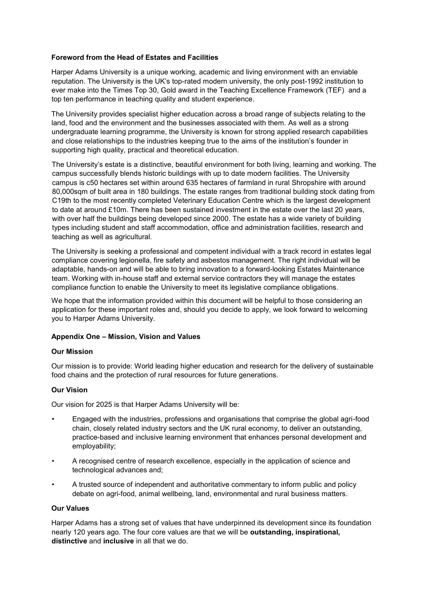#### **Foreword from the Head of Estates and Facilities**

Harper Adams University is a unique working, academic and living environment with an enviable reputation. The University is the UK's top-rated modern university, the only post-1992 institution to ever make into the Times Top 30, Gold award in the Teaching Excellence Framework (TEF) and a top ten performance in teaching quality and student experience.

The University provides specialist higher education across a broad range of subjects relating to the land, food and the environment and the businesses associated with them. As well as a strong undergraduate learning programme, the University is known for strong applied research capabilities and close relationships to the industries keeping true to the aims of the institution's founder in supporting high quality, practical and theoretical education.

The University's estate is a distinctive, beautiful environment for both living, learning and working. The campus successfully blends historic buildings with up to date modern facilities. The University campus is c50 hectares set within around 635 hectares of farmland in rural Shropshire with around 80,000sqm of built area in 180 buildings. The estate ranges from traditional building stock dating from C19th to the most recently completed Veterinary Education Centre which is the largest development to date at around £10m. There has been sustained investment in the estate over the last 20 years, with over half the buildings being developed since 2000. The estate has a wide variety of building types including student and staff accommodation, office and administration facilities, research and teaching as well as agricultural.

The University is seeking a professional and competent individual with a track record in estates legal compliance covering legionella, fire safety and asbestos management. The right individual will be adaptable, hands-on and will be able to bring innovation to a forward-looking Estates Maintenance team. Working with in-house staff and external service contractors they will manage the estates compliance function to enable the University to meet its legislative compliance obligations.

We hope that the information provided within this document will be helpful to those considering an application for these important roles and, should you decide to apply, we look forward to welcoming you to Harper Adams University.

#### **Appendix One – Mission, Vision and Values**

#### **Our Mission**

Our mission is to provide: World leading higher education and research for the delivery of sustainable food chains and the protection of rural resources for future generations.

#### **Our Vision**

Our vision for 2025 is that Harper Adams University will be:

- Engaged with the industries, professions and organisations that comprise the global agri-food chain, closely related industry sectors and the UK rural economy, to deliver an outstanding, practice-based and inclusive learning environment that enhances personal development and employability;
- A recognised centre of research excellence, especially in the application of science and technological advances and;
- A trusted source of independent and authoritative commentary to inform public and policy debate on agri-food, animal wellbeing, land, environmental and rural business matters.

#### **Our Values**

Harper Adams has a strong set of values that have underpinned its development since its foundation nearly 120 years ago. The four core values are that we will be **outstanding, inspirational, distinctive** and **inclusive** in all that we do.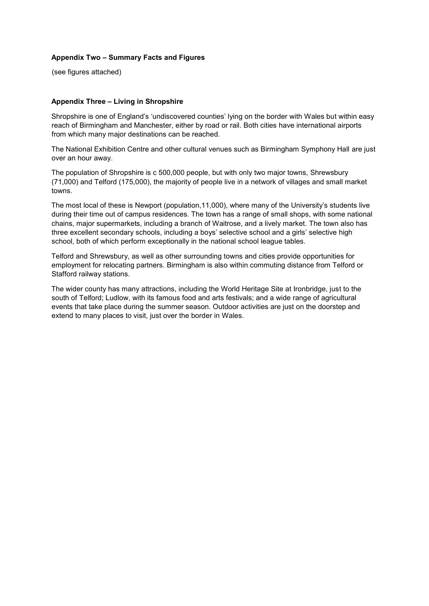#### **Appendix Two – Summary Facts and Figures**

(see figures attached)

#### **Appendix Three – Living in Shropshire**

Shropshire is one of England's 'undiscovered counties' lying on the border with Wales but within easy reach of Birmingham and Manchester, either by road or rail. Both cities have international airports from which many major destinations can be reached.

The National Exhibition Centre and other cultural venues such as Birmingham Symphony Hall are just over an hour away.

The population of Shropshire is c 500,000 people, but with only two major towns, Shrewsbury (71,000) and Telford (175,000), the majority of people live in a network of villages and small market towns.

The most local of these is Newport (population,11,000), where many of the University's students live during their time out of campus residences. The town has a range of small shops, with some national chains, major supermarkets, including a branch of Waitrose, and a lively market. The town also has three excellent secondary schools, including a boys' selective school and a girls' selective high school, both of which perform exceptionally in the national school league tables.

Telford and Shrewsbury, as well as other surrounding towns and cities provide opportunities for employment for relocating partners. Birmingham is also within commuting distance from Telford or Stafford railway stations.

The wider county has many attractions, including the World Heritage Site at Ironbridge, just to the south of Telford; Ludlow, with its famous food and arts festivals; and a wide range of agricultural events that take place during the summer season. Outdoor activities are just on the doorstep and extend to many places to visit, just over the border in Wales.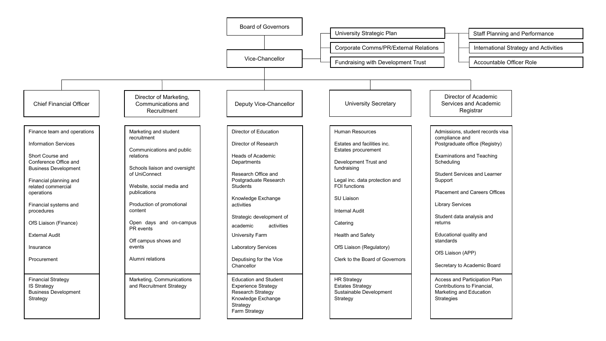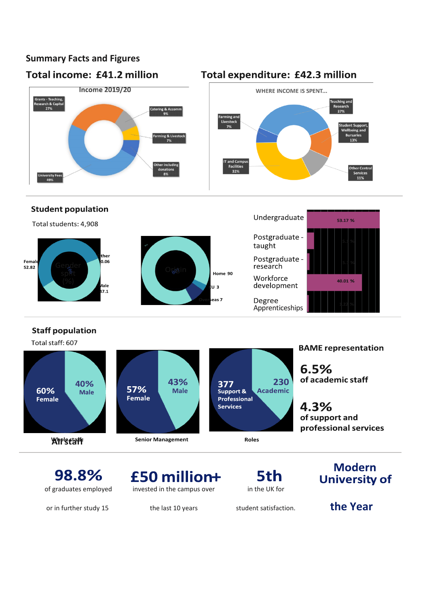## **Summary Facts and Figures**

## **Total income: £41.2 million**



## **Total expenditure: £42.3 million**





### **Staff population**

Total staff: 607



or in further study 15 the last 10 years student satisfaction. **the Year** 

£50 million+ of graduates employed invested in the campus over in the UK for

5th

# **University of**